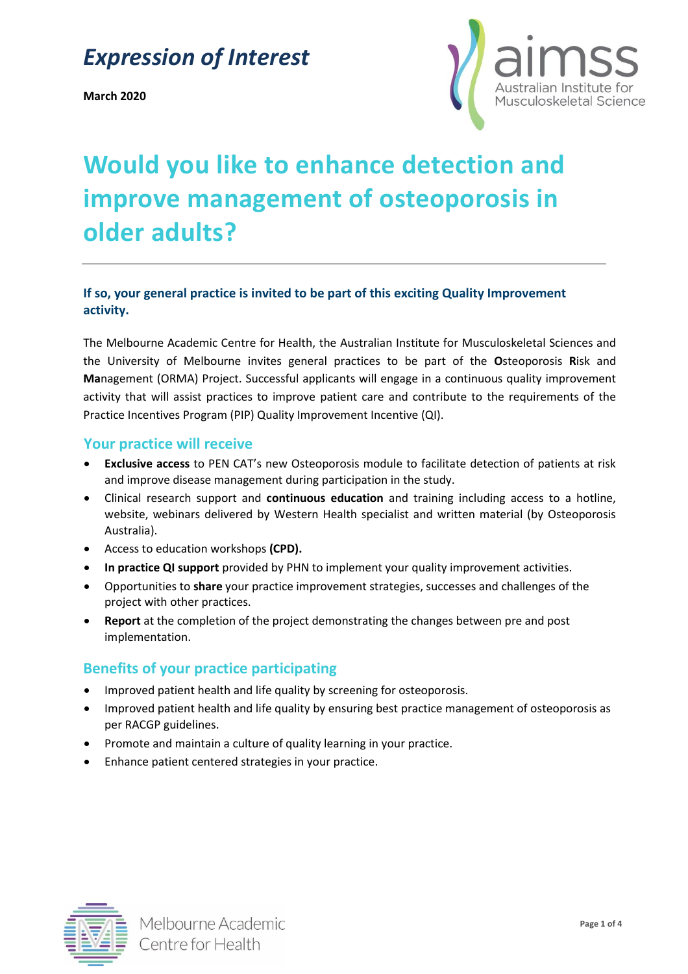## *Expression of Interest*

**March 2020**



# **Would you like to enhance detection and improve management of osteoporosis in older adults?**

## **If so, your general practice is invited to be part of this exciting Quality Improvement activity.**

The Melbourne Academic Centre for Health, the Australian Institute for Musculoskeletal Sciences and the University of Melbourne invites general practices to be part of the **O**steoporosis **R**isk and **Ma**nagement (ORMA) Project. Successful applicants will engage in a continuous quality improvement activity that will assist practices to improve patient care and contribute to the requirements of the Practice Incentives Program (PIP) Quality Improvement Incentive (QI).

#### **Your practice will receive**

- **Exclusive access** to PEN CAT's new Osteoporosis module to facilitate detection of patients at risk and improve disease management during participation in the study.
- Clinical research support and **continuous education** and training including access to a hotline, website, webinars delivered by Western Health specialist and written material (by Osteoporosis Australia).
- Access to education workshops **(CPD).**
- **In practice QI support** provided by PHN to implement your quality improvement activities.
- Opportunities to **share** your practice improvement strategies, successes and challenges of the project with other practices.
- **Report** at the completion of the project demonstrating the changes between pre and post implementation.

## **Benefits of your practice participating**

- Improved patient health and life quality by screening for osteoporosis.
- Improved patient health and life quality by ensuring best practice management of osteoporosis as per RACGP guidelines.
- Promote and maintain a culture of quality learning in your practice.
- Enhance patient centered strategies in your practice.

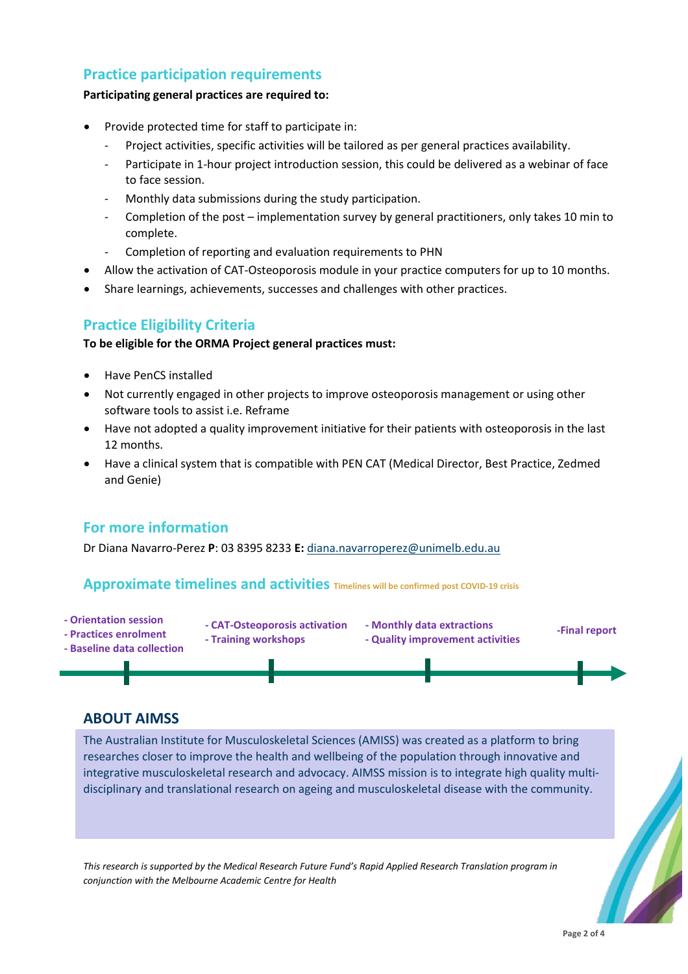## **Practice participation requirements**

#### **Participating general practices are required to:**

- Provide protected time for staff to participate in:
	- Project activities, specific activities will be tailored as per general practices availability.
	- Participate in 1-hour project introduction session, this could be delivered as a webinar of face to face session.
	- Monthly data submissions during the study participation.
	- Completion of the post implementation survey by general practitioners, only takes 10 min to complete.
	- Completion of reporting and evaluation requirements to PHN
- Allow the activation of CAT-Osteoporosis module in your practice computers for up to 10 months.
- Share learnings, achievements, successes and challenges with other practices.

## **Practice Eligibility Criteria**

#### **To be eligible for the ORMA Project general practices must:**

- Have PenCS installed
- Not currently engaged in other projects to improve osteoporosis management or using other software tools to assist i.e. Reframe
- Have not adopted a quality improvement initiative for their patients with osteoporosis in the last 12 months.
- Have a clinical system that is compatible with PEN CAT (Medical Director, Best Practice, Zedmed and Genie)

## **For more information**

Dr Diana Navarro-Perez **P**: 03 8395 8233 **E:** [diana.navarroperez@unimelb.edu.au](mailto:diana.navarroperez@unimelb.edu.au)

#### **Approximate timelines and activities Timelines will be confirmed post COVID-19 crisis**

- **- Orientation session - Practices enrolment**
- **- CAT-Osteoporosis activation - Training workshops**
- **- Monthly data extractions - Quality improvement activities**





## **ABOUT AIMSS**

The Australian Institute for Musculoskeletal Sciences (AMISS) was created as a platform to bring researches closer to improve the health and wellbeing of the population through innovative and integrative musculoskeletal research and advocacy. AIMSS mission is to integrate high quality multidisciplinary and translational research on ageing and musculoskeletal disease with the community.

*This research is supported by the Medical Research Future Fund's Rapid Applied Research Translation program in conjunction with the Melbourne Academic Centre for Health*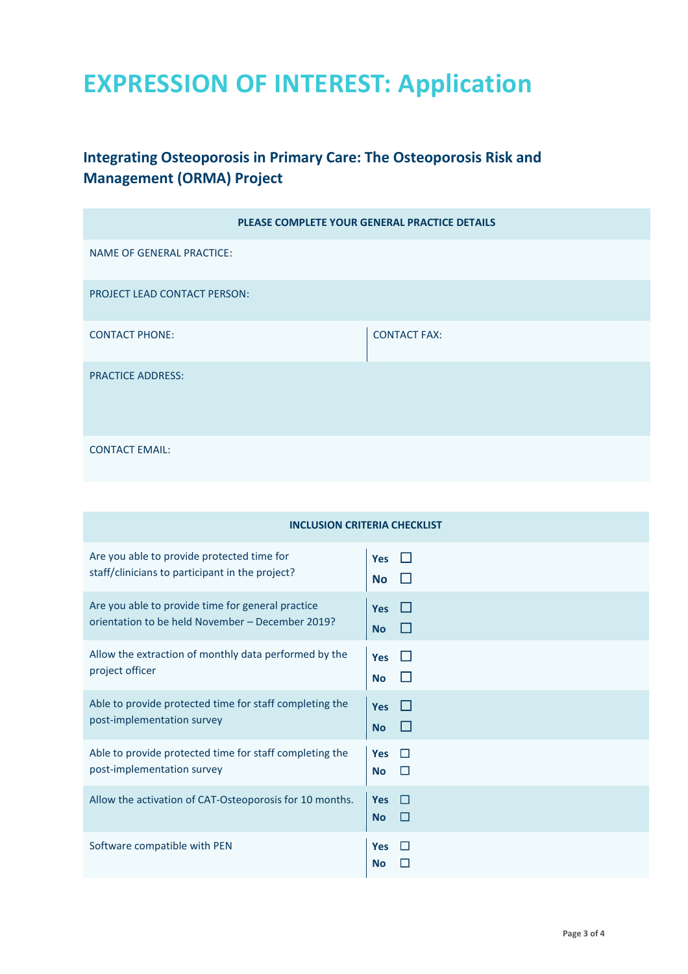## **EXPRESSION OF INTEREST: Application**

## **Integrating Osteoporosis in Primary Care: The Osteoporosis Risk and Management (ORMA) Project**

| PLEASE COMPLETE YOUR GENERAL PRACTICE DETAILS |                     |
|-----------------------------------------------|---------------------|
| NAME OF GENERAL PRACTICE:                     |                     |
| PROJECT LEAD CONTACT PERSON:                  |                     |
| <b>CONTACT PHONE:</b>                         | <b>CONTACT FAX:</b> |
| <b>PRACTICE ADDRESS:</b>                      |                     |
| <b>CONTACT EMAIL:</b>                         |                     |

| <b>INCLUSION CRITERIA CHECKLIST</b>                                                   |                                                      |
|---------------------------------------------------------------------------------------|------------------------------------------------------|
| Are you able to provide protected time for                                            | <b>Yes</b>                                           |
| staff/clinicians to participant in the project?                                       | <b>No</b>                                            |
| Are you able to provide time for general practice                                     | <b>Yes</b>                                           |
| orientation to be held November - December 2019?                                      | <b>No</b>                                            |
| Allow the extraction of monthly data performed by the                                 | <b>Yes</b>                                           |
| project officer                                                                       | <b>No</b>                                            |
| Able to provide protected time for staff completing the                               | <b>Yes</b>                                           |
| post-implementation survey                                                            | <b>No</b>                                            |
| Able to provide protected time for staff completing the<br>post-implementation survey | $\Box$<br><b>Yes</b><br>$\Box$<br><b>No</b>          |
| Allow the activation of CAT-Osteoporosis for 10 months.                               | <b>In</b><br><b>Yes</b><br><b>No</b><br>$\mathbf{L}$ |
| Software compatible with PEN                                                          | <b>Yes</b><br><b>No</b>                              |